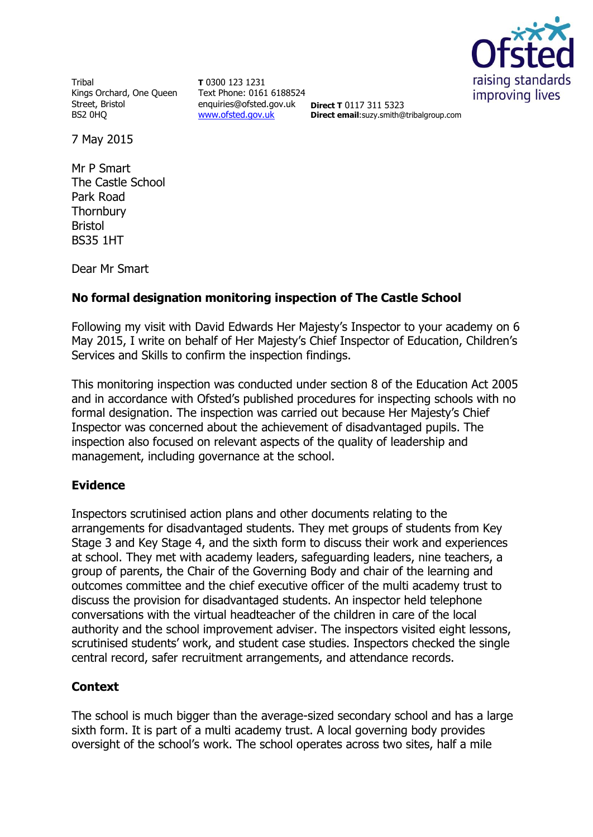

Tribal Kings Orchard, One Queen Street, Bristol BS2 0HQ

**T** 0300 123 1231 Text Phone: 0161 6188524 enquiries@ofsted.gov.uk **Direct T** 0117 311 5323 [www.ofsted.gov.uk](http://www.ofsted.gov.uk/)

**Direct email**:suzy.smith@tribalgroup.com

7 May 2015

Mr P Smart The Castle School Park Road **Thornbury** Bristol BS35 1HT

Dear Mr Smart

#### **No formal designation monitoring inspection of The Castle School**

Following my visit with David Edwards Her Majesty's Inspector to your academy on 6 May 2015, I write on behalf of Her Majesty's Chief Inspector of Education, Children's Services and Skills to confirm the inspection findings.

This monitoring inspection was conducted under section 8 of the Education Act 2005 and in accordance with Ofsted's published procedures for inspecting schools with no formal designation. The inspection was carried out because Her Majesty's Chief Inspector was concerned about the achievement of disadvantaged pupils. The inspection also focused on relevant aspects of the quality of leadership and management, including governance at the school.

#### **Evidence**

Inspectors scrutinised action plans and other documents relating to the arrangements for disadvantaged students. They met groups of students from Key Stage 3 and Key Stage 4, and the sixth form to discuss their work and experiences at school. They met with academy leaders, safeguarding leaders, nine teachers, a group of parents, the Chair of the Governing Body and chair of the learning and outcomes committee and the chief executive officer of the multi academy trust to discuss the provision for disadvantaged students. An inspector held telephone conversations with the virtual headteacher of the children in care of the local authority and the school improvement adviser. The inspectors visited eight lessons, scrutinised students' work, and student case studies. Inspectors checked the single central record, safer recruitment arrangements, and attendance records.

## **Context**

The school is much bigger than the average-sized secondary school and has a large sixth form. It is part of a multi academy trust. A local governing body provides oversight of the school's work. The school operates across two sites, half a mile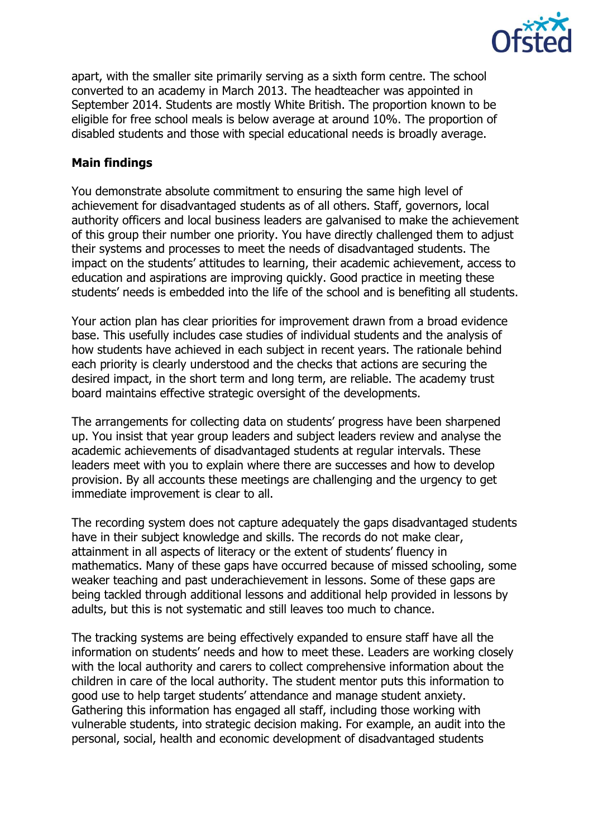

apart, with the smaller site primarily serving as a sixth form centre. The school converted to an academy in March 2013. The headteacher was appointed in September 2014. Students are mostly White British. The proportion known to be eligible for free school meals is below average at around 10%. The proportion of disabled students and those with special educational needs is broadly average.

### **Main findings**

You demonstrate absolute commitment to ensuring the same high level of achievement for disadvantaged students as of all others. Staff, governors, local authority officers and local business leaders are galvanised to make the achievement of this group their number one priority. You have directly challenged them to adjust their systems and processes to meet the needs of disadvantaged students. The impact on the students' attitudes to learning, their academic achievement, access to education and aspirations are improving quickly. Good practice in meeting these students' needs is embedded into the life of the school and is benefiting all students.

Your action plan has clear priorities for improvement drawn from a broad evidence base. This usefully includes case studies of individual students and the analysis of how students have achieved in each subject in recent years. The rationale behind each priority is clearly understood and the checks that actions are securing the desired impact, in the short term and long term, are reliable. The academy trust board maintains effective strategic oversight of the developments.

The arrangements for collecting data on students' progress have been sharpened up. You insist that year group leaders and subject leaders review and analyse the academic achievements of disadvantaged students at regular intervals. These leaders meet with you to explain where there are successes and how to develop provision. By all accounts these meetings are challenging and the urgency to get immediate improvement is clear to all.

The recording system does not capture adequately the gaps disadvantaged students have in their subject knowledge and skills. The records do not make clear, attainment in all aspects of literacy or the extent of students' fluency in mathematics. Many of these gaps have occurred because of missed schooling, some weaker teaching and past underachievement in lessons. Some of these gaps are being tackled through additional lessons and additional help provided in lessons by adults, but this is not systematic and still leaves too much to chance.

The tracking systems are being effectively expanded to ensure staff have all the information on students' needs and how to meet these. Leaders are working closely with the local authority and carers to collect comprehensive information about the children in care of the local authority. The student mentor puts this information to good use to help target students' attendance and manage student anxiety. Gathering this information has engaged all staff, including those working with vulnerable students, into strategic decision making. For example, an audit into the personal, social, health and economic development of disadvantaged students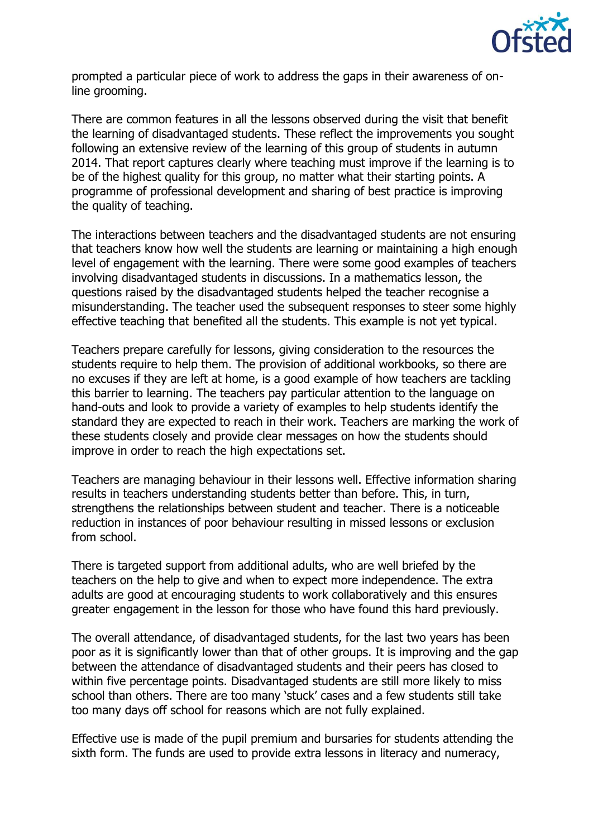

prompted a particular piece of work to address the gaps in their awareness of online grooming.

There are common features in all the lessons observed during the visit that benefit the learning of disadvantaged students. These reflect the improvements you sought following an extensive review of the learning of this group of students in autumn 2014. That report captures clearly where teaching must improve if the learning is to be of the highest quality for this group, no matter what their starting points. A programme of professional development and sharing of best practice is improving the quality of teaching.

The interactions between teachers and the disadvantaged students are not ensuring that teachers know how well the students are learning or maintaining a high enough level of engagement with the learning. There were some good examples of teachers involving disadvantaged students in discussions. In a mathematics lesson, the questions raised by the disadvantaged students helped the teacher recognise a misunderstanding. The teacher used the subsequent responses to steer some highly effective teaching that benefited all the students. This example is not yet typical.

Teachers prepare carefully for lessons, giving consideration to the resources the students require to help them. The provision of additional workbooks, so there are no excuses if they are left at home, is a good example of how teachers are tackling this barrier to learning. The teachers pay particular attention to the language on hand-outs and look to provide a variety of examples to help students identify the standard they are expected to reach in their work. Teachers are marking the work of these students closely and provide clear messages on how the students should improve in order to reach the high expectations set.

Teachers are managing behaviour in their lessons well. Effective information sharing results in teachers understanding students better than before. This, in turn, strengthens the relationships between student and teacher. There is a noticeable reduction in instances of poor behaviour resulting in missed lessons or exclusion from school.

There is targeted support from additional adults, who are well briefed by the teachers on the help to give and when to expect more independence. The extra adults are good at encouraging students to work collaboratively and this ensures greater engagement in the lesson for those who have found this hard previously.

The overall attendance, of disadvantaged students, for the last two years has been poor as it is significantly lower than that of other groups. It is improving and the gap between the attendance of disadvantaged students and their peers has closed to within five percentage points. Disadvantaged students are still more likely to miss school than others. There are too many 'stuck' cases and a few students still take too many days off school for reasons which are not fully explained.

Effective use is made of the pupil premium and bursaries for students attending the sixth form. The funds are used to provide extra lessons in literacy and numeracy,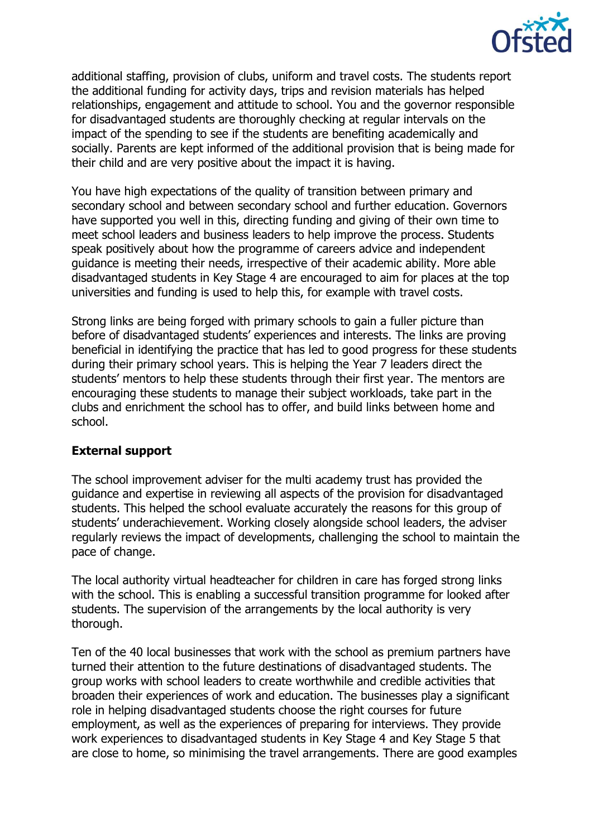

additional staffing, provision of clubs, uniform and travel costs. The students report the additional funding for activity days, trips and revision materials has helped relationships, engagement and attitude to school. You and the governor responsible for disadvantaged students are thoroughly checking at regular intervals on the impact of the spending to see if the students are benefiting academically and socially. Parents are kept informed of the additional provision that is being made for their child and are very positive about the impact it is having.

You have high expectations of the quality of transition between primary and secondary school and between secondary school and further education. Governors have supported you well in this, directing funding and giving of their own time to meet school leaders and business leaders to help improve the process. Students speak positively about how the programme of careers advice and independent guidance is meeting their needs, irrespective of their academic ability. More able disadvantaged students in Key Stage 4 are encouraged to aim for places at the top universities and funding is used to help this, for example with travel costs.

Strong links are being forged with primary schools to gain a fuller picture than before of disadvantaged students' experiences and interests. The links are proving beneficial in identifying the practice that has led to good progress for these students during their primary school years. This is helping the Year 7 leaders direct the students' mentors to help these students through their first year. The mentors are encouraging these students to manage their subject workloads, take part in the clubs and enrichment the school has to offer, and build links between home and school.

#### **External support**

The school improvement adviser for the multi academy trust has provided the guidance and expertise in reviewing all aspects of the provision for disadvantaged students. This helped the school evaluate accurately the reasons for this group of students' underachievement. Working closely alongside school leaders, the adviser regularly reviews the impact of developments, challenging the school to maintain the pace of change.

The local authority virtual headteacher for children in care has forged strong links with the school. This is enabling a successful transition programme for looked after students. The supervision of the arrangements by the local authority is very thorough.

Ten of the 40 local businesses that work with the school as premium partners have turned their attention to the future destinations of disadvantaged students. The group works with school leaders to create worthwhile and credible activities that broaden their experiences of work and education. The businesses play a significant role in helping disadvantaged students choose the right courses for future employment, as well as the experiences of preparing for interviews. They provide work experiences to disadvantaged students in Key Stage 4 and Key Stage 5 that are close to home, so minimising the travel arrangements. There are good examples